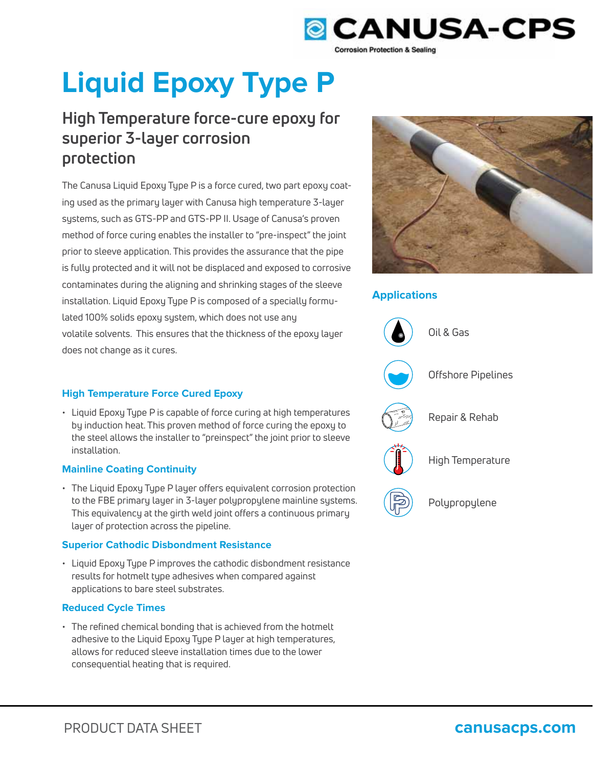

# **Liquid Epoxy Type P**

## **High Temperature force-cure epoxy for superior 3-layer corrosion protection**

The Canusa Liquid Epoxy Type P is a force cured, two part epoxy coating used as the primary layer with Canusa high temperature 3-layer systems, such as GTS-PP and GTS-PP II. Usage of Canusa's proven method of force curing enables the installer to "pre-inspect" the joint prior to sleeve application. This provides the assurance that the pipe is fully protected and it will not be displaced and exposed to corrosive contaminates during the aligning and shrinking stages of the sleeve installation. Liquid Epoxy Type P is composed of a specially formulated 100% solids epoxy system, which does not use any volatile solvents. This ensures that the thickness of the epoxy layer does not change as it cures.



## **Applications**



## **High Temperature Force Cured Epoxy**

• Liquid Epoxy Type P is capable of force curing at high temperatures by induction heat. This proven method of force curing the epoxy to the steel allows the installer to "preinspect" the joint prior to sleeve installation.

## **Mainline Coating Continuity**

• The Liquid Epoxy Type P layer offers equivalent corrosion protection to the FBE primary layer in 3-layer polypropylene mainline systems. This equivalency at the girth weld joint offers a continuous primary layer of protection across the pipeline.

## **Superior Cathodic Disbondment Resistance**

• Liquid Epoxy Type P improves the cathodic disbondment resistance results for hotmelt type adhesives when compared against applications to bare steel substrates.

## **Reduced Cycle Times**

• The refined chemical bonding that is achieved from the hotmelt adhesive to the Liquid Epoxy Type P layer at high temperatures, allows for reduced sleeve installation times due to the lower consequential heating that is required.